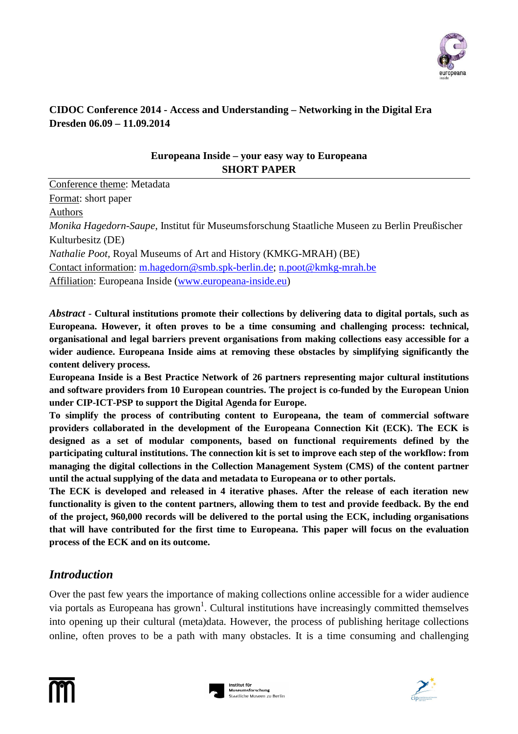

### **CIDOC Conference 2014 - Access and Understanding – Networking in the Digital Era Dresden 06.09 – 11.09.2014**

#### **Europeana Inside – your easy way to Europeana SHORT PAPER**

Conference theme: Metadata Format: short paper Authors *Monika Hagedorn-Saupe*, Institut für Museumsforschung Staatliche Museen zu Berlin Preußischer Kulturbesitz (DE) *Nathalie Poot,* Royal Museums of Art and History (KMKG-MRAH) (BE) Contact information: m.hagedorn@smb.spk-berlin.de; n.poot@kmkg-mrah.be

Affiliation: Europeana Inside (www.europeana-inside.eu)

*Abstract -* **Cultural institutions promote their collections by delivering data to digital portals, such as Europeana. However, it often proves to be a time consuming and challenging process: technical, organisational and legal barriers prevent organisations from making collections easy accessible for a wider audience. Europeana Inside aims at removing these obstacles by simplifying significantly the content delivery process.** 

**Europeana Inside is a Best Practice Network of 26 partners representing major cultural institutions and software providers from 10 European countries. The project is co-funded by the European Union under CIP-ICT-PSP to support the Digital Agenda for Europe.** 

**To simplify the process of contributing content to Europeana, the team of commercial software providers collaborated in the development of the Europeana Connection Kit (ECK). The ECK is designed as a set of modular components, based on functional requirements defined by the participating cultural institutions. The connection kit is set to improve each step of the workflow: from managing the digital collections in the Collection Management System (CMS) of the content partner until the actual supplying of the data and metadata to Europeana or to other portals.** 

**The ECK is developed and released in 4 iterative phases. After the release of each iteration new functionality is given to the content partners, allowing them to test and provide feedback. By the end of the project, 960,000 records will be delivered to the portal using the ECK, including organisations that will have contributed for the first time to Europeana. This paper will focus on the evaluation process of the ECK and on its outcome.** 

# *Introduction*

Over the past few years the importance of making collections online accessible for a wider audience via portals as Europeana has grown<sup>1</sup>. Cultural institutions have increasingly committed themselves into opening up their cultural (meta)data. However, the process of publishing heritage collections online, often proves to be a path with many obstacles. It is a time consuming and challenging



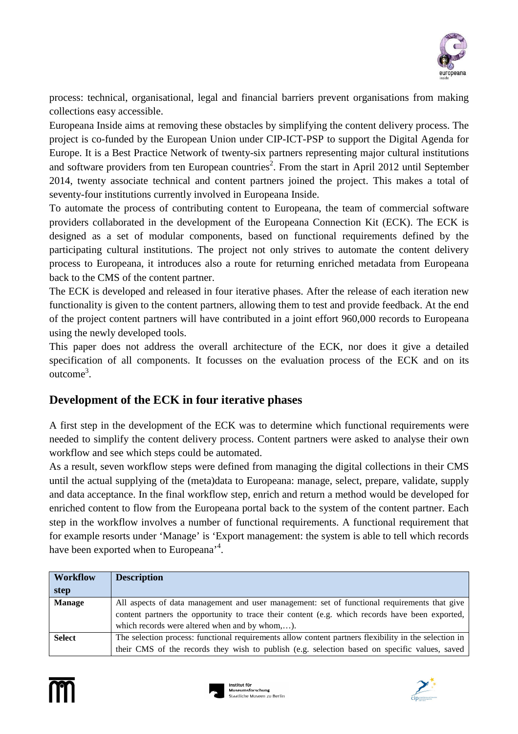

process: technical, organisational, legal and financial barriers prevent organisations from making collections easy accessible.

Europeana Inside aims at removing these obstacles by simplifying the content delivery process. The project is co-funded by the European Union under CIP-ICT-PSP to support the Digital Agenda for Europe. It is a Best Practice Network of twenty-six partners representing major cultural institutions and software providers from ten European countries<sup>2</sup>. From the start in April 2012 until September 2014, twenty associate technical and content partners joined the project. This makes a total of seventy-four institutions currently involved in Europeana Inside.

To automate the process of contributing content to Europeana, the team of commercial software providers collaborated in the development of the Europeana Connection Kit (ECK). The ECK is designed as a set of modular components, based on functional requirements defined by the participating cultural institutions. The project not only strives to automate the content delivery process to Europeana, it introduces also a route for returning enriched metadata from Europeana back to the CMS of the content partner.

The ECK is developed and released in four iterative phases. After the release of each iteration new functionality is given to the content partners, allowing them to test and provide feedback. At the end of the project content partners will have contributed in a joint effort 960,000 records to Europeana using the newly developed tools.

This paper does not address the overall architecture of the ECK, nor does it give a detailed specification of all components. It focusses on the evaluation process of the ECK and on its outcome<sup>3</sup>.

### **Development of the ECK in four iterative phases**

A first step in the development of the ECK was to determine which functional requirements were needed to simplify the content delivery process. Content partners were asked to analyse their own workflow and see which steps could be automated.

As a result, seven workflow steps were defined from managing the digital collections in their CMS until the actual supplying of the (meta)data to Europeana: manage, select, prepare, validate, supply and data acceptance. In the final workflow step, enrich and return a method would be developed for enriched content to flow from the Europeana portal back to the system of the content partner. Each step in the workflow involves a number of functional requirements. A functional requirement that for example resorts under 'Manage' is 'Export management: the system is able to tell which records have been exported when to Europeana<sup>,4</sup>.

| <b>Workflow</b> | <b>Description</b>                                                                                    |
|-----------------|-------------------------------------------------------------------------------------------------------|
| step            |                                                                                                       |
| <b>Manage</b>   | All aspects of data management and user management: set of functional requirements that give          |
|                 | content partners the opportunity to trace their content (e.g. which records have been exported,       |
|                 | which records were altered when and by whom,).                                                        |
| <b>Select</b>   | The selection process: functional requirements allow content partners flexibility in the selection in |
|                 | their CMS of the records they wish to publish (e.g. selection based on specific values, saved         |





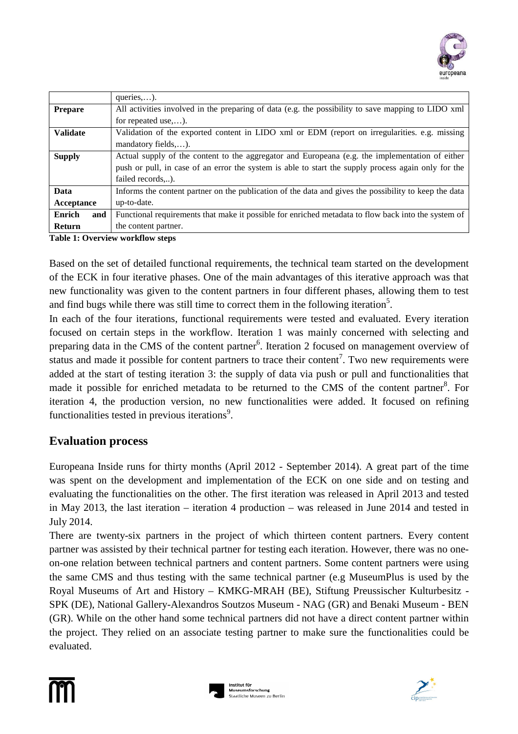

|                 | queries,).                                                                                            |  |
|-----------------|-------------------------------------------------------------------------------------------------------|--|
| <b>Prepare</b>  | All activities involved in the preparing of data (e.g. the possibility to save mapping to LIDO xml    |  |
|                 | for repeated use,).                                                                                   |  |
| <b>Validate</b> | Validation of the exported content in LIDO xml or EDM (report on irregularities, e.g. missing         |  |
|                 | mandatory fields,).                                                                                   |  |
| <b>Supply</b>   | Actual supply of the content to the aggregator and Europeana (e.g. the implementation of either       |  |
|                 | push or pull, in case of an error the system is able to start the supply process again only for the   |  |
|                 | failed records).                                                                                      |  |
| Data            | Informs the content partner on the publication of the data and gives the possibility to keep the data |  |
| Acceptance      | up-to-date.                                                                                           |  |
| Enrich<br>and   | Functional requirements that make it possible for enriched metadata to flow back into the system of   |  |
| <b>Return</b>   | the content partner.                                                                                  |  |

**Table 1: Overview workflow steps** 

Based on the set of detailed functional requirements, the technical team started on the development of the ECK in four iterative phases. One of the main advantages of this iterative approach was that new functionality was given to the content partners in four different phases, allowing them to test and find bugs while there was still time to correct them in the following iteration<sup>5</sup>.

In each of the four iterations, functional requirements were tested and evaluated. Every iteration focused on certain steps in the workflow. Iteration 1 was mainly concerned with selecting and preparing data in the CMS of the content partner<sup>6</sup>. Iteration 2 focused on management overview of status and made it possible for content partners to trace their content<sup>7</sup>. Two new requirements were added at the start of testing iteration 3: the supply of data via push or pull and functionalities that made it possible for enriched metadata to be returned to the CMS of the content partner<sup>8</sup>. For iteration 4, the production version, no new functionalities were added. It focused on refining functionalities tested in previous iterations<sup>9</sup>.

#### **Evaluation process**

Europeana Inside runs for thirty months (April 2012 - September 2014). A great part of the time was spent on the development and implementation of the ECK on one side and on testing and evaluating the functionalities on the other. The first iteration was released in April 2013 and tested in May 2013, the last iteration – iteration 4 production – was released in June 2014 and tested in July 2014.

There are twenty-six partners in the project of which thirteen content partners. Every content partner was assisted by their technical partner for testing each iteration. However, there was no oneon-one relation between technical partners and content partners. Some content partners were using the same CMS and thus testing with the same technical partner (e.g MuseumPlus is used by the Royal Museums of Art and History – KMKG-MRAH (BE), Stiftung Preussischer Kulturbesitz - SPK (DE), National Gallery-Alexandros Soutzos Museum - NAG (GR) and Benaki Museum - BEN (GR). While on the other hand some technical partners did not have a direct content partner within the project. They relied on an associate testing partner to make sure the functionalities could be evaluated.



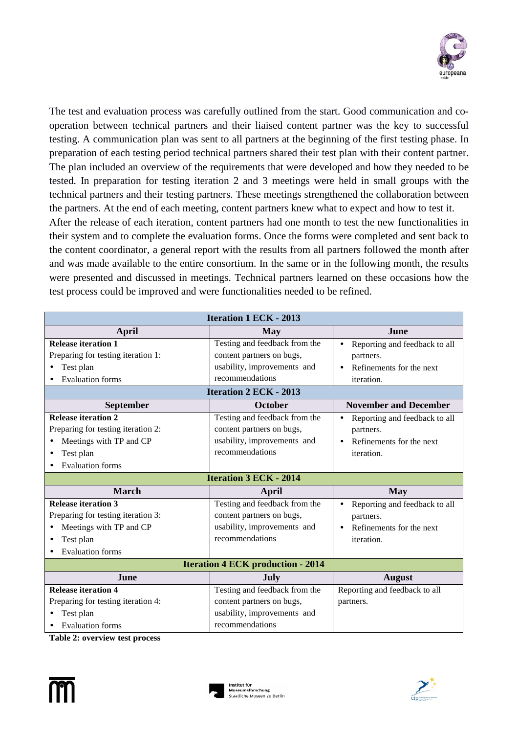

The test and evaluation process was carefully outlined from the start. Good communication and cooperation between technical partners and their liaised content partner was the key to successful testing. A communication plan was sent to all partners at the beginning of the first testing phase. In preparation of each testing period technical partners shared their test plan with their content partner. The plan included an overview of the requirements that were developed and how they needed to be tested. In preparation for testing iteration 2 and 3 meetings were held in small groups with the technical partners and their testing partners. These meetings strengthened the collaboration between the partners. At the end of each meeting, content partners knew what to expect and how to test it. After the release of each iteration, content partners had one month to test the new functionalities in

their system and to complete the evaluation forms. Once the forms were completed and sent back to the content coordinator, a general report with the results from all partners followed the month after and was made available to the entire consortium. In the same or in the following month, the results were presented and discussed in meetings. Technical partners learned on these occasions how the test process could be improved and were functionalities needed to be refined.

| <b>Iteration 1 ECK - 2013</b>      |                                          |                                            |  |  |  |
|------------------------------------|------------------------------------------|--------------------------------------------|--|--|--|
| April                              | <b>May</b>                               | June                                       |  |  |  |
| <b>Release iteration 1</b>         | Testing and feedback from the            | Reporting and feedback to all<br>$\bullet$ |  |  |  |
| Preparing for testing iteration 1: | content partners on bugs,                | partners.                                  |  |  |  |
| Test plan                          | usability, improvements and              | Refinements for the next<br>$\bullet$      |  |  |  |
| <b>Evaluation</b> forms            | recommendations                          | iteration.                                 |  |  |  |
| <b>Iteration 2 ECK - 2013</b>      |                                          |                                            |  |  |  |
| <b>September</b>                   | October                                  | <b>November and December</b>               |  |  |  |
| <b>Release iteration 2</b>         | Testing and feedback from the            | Reporting and feedback to all<br>$\bullet$ |  |  |  |
| Preparing for testing iteration 2: | content partners on bugs,                | partners.                                  |  |  |  |
| Meetings with TP and CP            | usability, improvements and              | Refinements for the next<br>$\bullet$      |  |  |  |
| Test plan                          | recommendations                          | iteration.                                 |  |  |  |
| <b>Evaluation forms</b>            |                                          |                                            |  |  |  |
| <b>Iteration 3 ECK - 2014</b>      |                                          |                                            |  |  |  |
| <b>March</b>                       | April                                    | <b>May</b>                                 |  |  |  |
| <b>Release iteration 3</b>         | Testing and feedback from the            | Reporting and feedback to all<br>$\bullet$ |  |  |  |
|                                    |                                          |                                            |  |  |  |
| Preparing for testing iteration 3: | content partners on bugs,                | partners.                                  |  |  |  |
| Meetings with TP and CP            | usability, improvements and              | Refinements for the next<br>$\bullet$      |  |  |  |
| Test plan                          | recommendations                          | iteration.                                 |  |  |  |
| <b>Evaluation</b> forms            |                                          |                                            |  |  |  |
|                                    | <b>Iteration 4 ECK production - 2014</b> |                                            |  |  |  |
| June                               | July                                     | <b>August</b>                              |  |  |  |
| <b>Release iteration 4</b>         | Testing and feedback from the            | Reporting and feedback to all              |  |  |  |
| Preparing for testing iteration 4: | content partners on bugs,                | partners.                                  |  |  |  |
| Test plan                          | usability, improvements and              |                                            |  |  |  |

**Table 2: overview test process** 





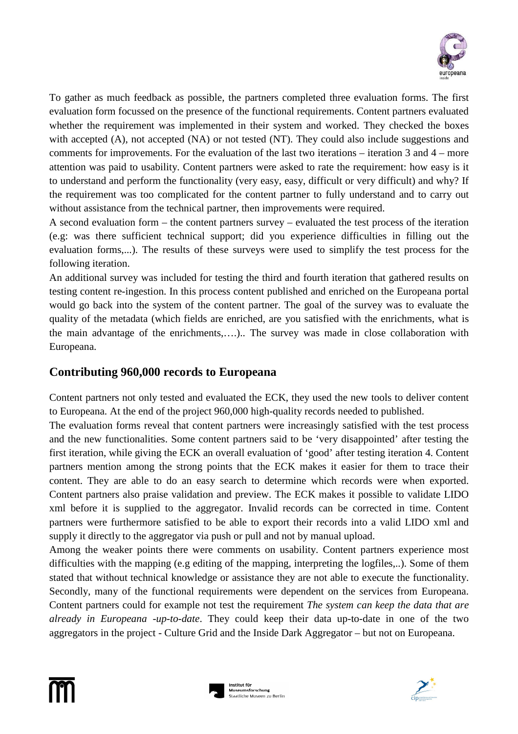

To gather as much feedback as possible, the partners completed three evaluation forms. The first evaluation form focussed on the presence of the functional requirements. Content partners evaluated whether the requirement was implemented in their system and worked. They checked the boxes with accepted (A), not accepted (NA) or not tested (NT). They could also include suggestions and comments for improvements. For the evaluation of the last two iterations – iteration 3 and 4 – more attention was paid to usability. Content partners were asked to rate the requirement: how easy is it to understand and perform the functionality (very easy, easy, difficult or very difficult) and why? If the requirement was too complicated for the content partner to fully understand and to carry out without assistance from the technical partner, then improvements were required.

A second evaluation form – the content partners survey – evaluated the test process of the iteration (e.g: was there sufficient technical support; did you experience difficulties in filling out the evaluation forms,...). The results of these surveys were used to simplify the test process for the following iteration.

An additional survey was included for testing the third and fourth iteration that gathered results on testing content re-ingestion. In this process content published and enriched on the Europeana portal would go back into the system of the content partner. The goal of the survey was to evaluate the quality of the metadata (which fields are enriched, are you satisfied with the enrichments, what is the main advantage of the enrichments,….).. The survey was made in close collaboration with Europeana.

## **Contributing 960,000 records to Europeana**

Content partners not only tested and evaluated the ECK, they used the new tools to deliver content to Europeana. At the end of the project 960,000 high-quality records needed to published.

The evaluation forms reveal that content partners were increasingly satisfied with the test process and the new functionalities. Some content partners said to be 'very disappointed' after testing the first iteration, while giving the ECK an overall evaluation of 'good' after testing iteration 4. Content partners mention among the strong points that the ECK makes it easier for them to trace their content. They are able to do an easy search to determine which records were when exported. Content partners also praise validation and preview. The ECK makes it possible to validate LIDO xml before it is supplied to the aggregator. Invalid records can be corrected in time. Content partners were furthermore satisfied to be able to export their records into a valid LIDO xml and supply it directly to the aggregator via push or pull and not by manual upload.

Among the weaker points there were comments on usability. Content partners experience most difficulties with the mapping (e.g editing of the mapping, interpreting the logfiles,..). Some of them stated that without technical knowledge or assistance they are not able to execute the functionality. Secondly, many of the functional requirements were dependent on the services from Europeana. Content partners could for example not test the requirement *The system can keep the data that are already in Europeana -up-to-date*. They could keep their data up-to-date in one of the two aggregators in the project - Culture Grid and the Inside Dark Aggregator – but not on Europeana.